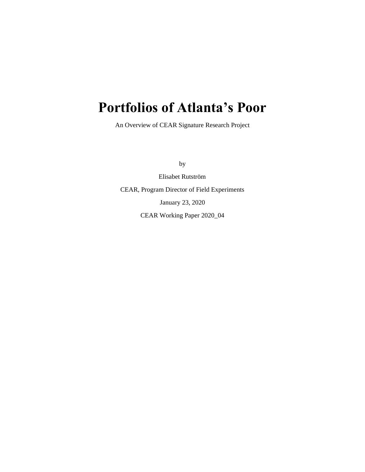# **Portfolios of Atlanta's Poor**

An Overview of CEAR Signature Research Project

by

Elisabet Rutström CEAR, Program Director of Field Experiments January 23, 2020 CEAR Working Paper 2020\_04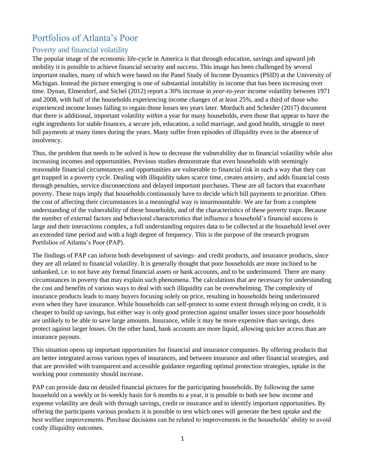# Portfolios of Atlanta's Poor

# Poverty and financial volatility

The popular image of the economic life-cycle in America is that through education, savings and upward job mobility it is possible to achieve financial security and success. This image has been challenged by several important studies, many of which were based on the Panel Study of Income Dynamics (PSID) at the University of Michigan. Instead the picture emerging is one of substantial instability in income that has been increasing over time. Dynan, Elmendorf, and Sichel (2012) report a 30% increase in *year-to-year* income volatility between 1971 and 2008, with half of the households experiencing income changes of at least 25%, and a third of those who experienced income losses failing to regain those losses ten years later. Morduch and Scheider (2017) document that there is additional, important volatility *within* a year for many households, even those that appear to have the right ingredients for stable finances, a secure job, education, a solid marriage, and good health, struggle to meet bill payments at many times during the years. Many suffer from episodes of illiquidity even in the absence of insolvency.

Thus, the problem that needs to be solved is how to decrease the vulnerability due to financial volatility while also increasing incomes and opportunities. Previous studies demonstrate that even households with seemingly reasonable financial circumstances and opportunities are vulnerable to financial risk in such a way that they can get trapped in a poverty cycle. Dealing with illiquidity takes scarce time, creates anxiety, and adds financial costs through penalties, service disconnections and delayed important purchases. These are all factors that exacerbate poverty. These traps imply that households continuously have to decide which bill payments to prioritize. Often the cost of affecting their circumstances in a meaningful way is insurmountable. We are far from a complete understanding of the vulnerability of these households, and of the characteristics of these poverty traps. Because the number of external factors and behavioral characteristics that influence a household's financial success is large and their interactions complex, a full understanding requires data to be collected at the household level over an extended time period and with a high degree of frequency. This is the purpose of the research program Portfolios of Atlanta's Poor (PAP).

The findings of PAP can inform both development of savings- and credit products, and insurance products, since they are all related to financial volatility. It is generally thought that poor households are more inclined to be unbanked, i.e. to not have any formal financial assets or bank accounts, and to be underinsured. There are many circumstances in poverty that may explain such phenomena. The calculations that are necessary for understanding the cost and benefits of various ways to deal with such illiquidity can be overwhelming. The complexity of insurance products leads to many buyers focusing solely on price, resulting in households being underinsured even when they have insurance. While households can self-protect to some extent through relying on credit, it is cheaper to build up savings, but either way is only good protection against smaller losses since poor households are unlikely to be able to save large amounts. Insurance, while it may be more expensive than savings, does protect against larger losses. On the other hand, bank accounts are more liquid, allowing quicker access than are insurance payouts.

This situation opens up important opportunities for financial and insurance companies. By offering products that are better integrated across various types of insurances, and between insurance and other financial strategies, and that are provided with transparent and accessible guidance regarding optimal protection strategies, uptake in the working poor community should increase.

PAP can provide data on detailed financial pictures for the participating households. By following the same household on a weekly or bi-weekly basis for 6 months to a year, it is possible to both see how income and expense volatility are dealt with through savings, credit or insurance and to identify important opportunities. By offering the participants various products it is possible to test which ones will generate the best uptake and the best welfare improvements. Purchase decisions can be related to improvements in the households' ability to avoid costly illiquidity outcomes.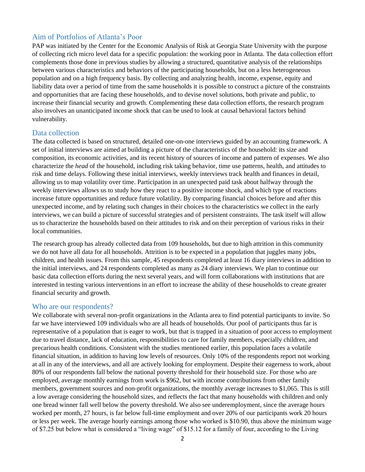## Aim of Portfolios of Atlanta's Poor

PAP was initiated by the Center for the Economic Analysis of Risk at Georgia State University with the purpose of collecting rich micro level data for a specific population: the working poor in Atlanta. The data collection effort complements those done in previous studies by allowing a structured, quantitative analysis of the relationships between various characteristics and behaviors of the participating households, but on a less heterogeneous population and on a high frequency basis. By collecting and analyzing health, income, expense, equity and liability data over a period of time from the same households it is possible to construct a picture of the constraints and opportunities that are facing these households, and to devise novel solutions, both private and public, to increase their financial security and growth. Complementing these data collection efforts, the research program also involves an unanticipated income shock that can be used to look at causal behavioral factors behind vulnerability.

#### Data collection

The data collected is based on structured, detailed one-on-one interviews guided by an accounting framework. A set of initial interviews are aimed at building a picture of the characteristics of the household: its size and composition, its economic activities, and its recent history of sources of income and pattern of expenses. We also characterize the *head* of the household, including risk taking behavior, time use patterns, health, and attitudes to risk and time delays. Following these initial interviews, weekly interviews track health and finances in detail, allowing us to map volatility over time. Participation in an unexpected paid task about halfway through the weekly interviews allows us to study how they react to a positive income shock, and which type of reactions increase future opportunities and reduce future volatility. By comparing financial choices before and after this unexpected income, and by relating such changes in their choices to the characteristics we collect in the early interviews, we can build a picture of successful strategies and of persistent constraints. The task itself will allow us to characterize the households based on their attitudes to risk and on their perception of various risks in their local communities.

The research group has already collected data from 109 households, but due to high attrition in this community we do not have all data for all households. Attrition is to be expected in a population that juggles many jobs, children, and health issues. From this sample, 45 respondents completed at least 16 diary interviews in addition to the initial interviews, and 24 respondents completed as many as 24 diary interviews. We plan to continue our basic data collection efforts during the next several years, and will form collaborations with institutions that are interested in testing various interventions in an effort to increase the ability of these households to create greater financial security and growth.

#### Who are our respondents?

We collaborate with several non-profit organizations in the Atlanta area to find potential participants to invite. So far we have interviewed 109 individuals who are all heads of households. Our pool of participants thus far is representative of a population that is eager to work, but that is trapped in a situation of poor access to employment due to travel distance, lack of education, responsibilities to care for family members, especially children, and precarious health conditions. Consistent with the studies mentioned earlier, this population faces a volatile financial situation, in addition to having low levels of resources. Only 10% of the respondents report not working at all in any of the interviews, and all are actively looking for employment. Despite their eagerness to work, about 80% of our respondents fall below the national poverty threshold for their household size. For those who are employed, average monthly earnings from work is \$962, but with income contributions from other family members, government sources and non-profit organizations, the monthly average increases to \$1,065. This is still a low average considering the household sizes, and reflects the fact that many households with children and only one bread winner fall well below the poverty threshold. We also see underemployment, since the average hours worked per month, 27 hours, is far below full-time employment and over 20% of our participants work 20 hours or less per week. The average hourly earnings among those who worked is \$10.90, thus above the minimum wage of \$7.25 but below what is considered a "living wage" of \$15.12 for a family of four, according to the Living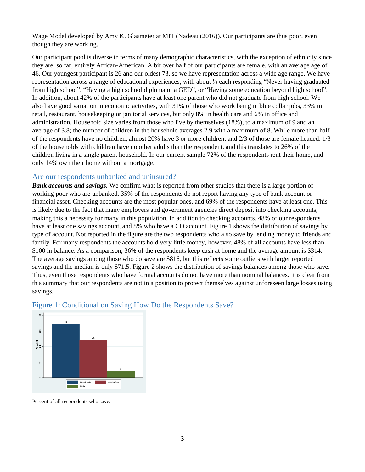Wage Model developed by Amy K. Glasmeier at MIT (Nadeau (2016)). Our participants are thus poor, even though they are working.

Our participant pool is diverse in terms of many demographic characteristics, with the exception of ethnicity since they are, so far, entirely African-American. A bit over half of our participants are female, with an average age of 46. Our youngest participant is 26 and our oldest 73, so we have representation across a wide age range. We have representation across a range of educational experiences, with about ⅓ each responding "Never having graduated from high school", "Having a high school diploma or a GED", or "Having some education beyond high school". In addition, about 42% of the participants have at least one parent who did not graduate from high school. We also have good variation in economic activities, with 31% of those who work being in blue collar jobs, 33% in retail, restaurant, housekeeping or janitorial services, but only 8% in health care and 6% in office and administration. Household size varies from those who live by themselves (18%), to a maximum of 9 and an average of 3.8; the number of children in the household averages 2.9 with a maximum of 8. While more than half of the respondents have no children, almost 20% have 3 or more children, and 2/3 of those are female headed. 1/3 of the households with children have no other adults than the respondent, and this translates to 26% of the children living in a single parent household. In our current sample 72% of the respondents rent their home, and only 14% own their home without a mortgage.

#### Are our respondents unbanked and uninsured?

*Bank accounts and savings.* We confirm what is reported from other studies that there is a large portion of working poor who are unbanked. 35% of the respondents do not report having any type of bank account or financial asset. Checking accounts are the most popular ones, and 69% of the respondents have at least one. This is likely due to the fact that many employers and government agencies direct deposit into checking accounts, making this a necessity for many in this population. In addition to checking accounts, 48% of our respondents have at least one savings account, and 8% who have a CD account. Figure 1 shows the distribution of savings by type of account. Not reported in the figure are the two respondents who also save by lending money to friends and family. For many respondents the accounts hold very little money, however. 48% of all accounts have less than \$100 in balance. As a comparison, 36% of the respondents keep cash at home and the average amount is \$314. The average savings among those who do save are \$816, but this reflects some outliers with larger reported savings and the median is only \$71.5. Figure 2 shows the distribution of savings balances among those who save. Thus, even those respondents who have formal accounts do not have more than nominal balances. It is clear from this summary that our respondents are not in a position to protect themselves against unforeseen large losses using savings.



### Figure 1: Conditional on Saving How Do the Respondents Save?

Percent of all respondents who save.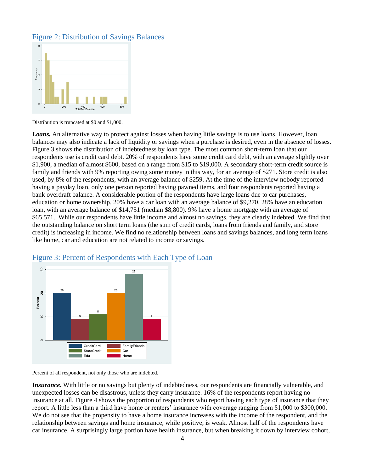# Figure 2: Distribution of Savings Balances



Distribution is truncated at \$0 and \$1,000.

*Loans.* An alternative way to protect against losses when having little savings is to use loans. However, loan balances may also indicate a lack of liquidity or savings when a purchase is desired, even in the absence of losses. Figure 3 shows the distribution of indebtedness by loan type. The most common short-term loan that our respondents use is credit card debt. 20% of respondents have some credit card debt, with an average slightly over \$1,900, a median of almost \$600, based on a range from \$15 to \$19,000. A secondary short-term credit source is family and friends with 9% reporting owing some money in this way, for an average of \$271. Store credit is also used, by 8% of the respondents, with an average balance of \$259. At the time of the interview nobody reported having a payday loan, only one person reported having pawned items, and four respondents reported having a bank overdraft balance. A considerable portion of the respondents have large loans due to car purchases, education or home ownership. 20% have a car loan with an average balance of \$9,270. 28% have an education loan, with an average balance of \$14,751 (median \$8,800). 9% have a home mortgage with an average of \$65,571. While our respondents have little income and almost no savings, they are clearly indebted. We find that the outstanding balance on short term loans (the sum of credit cards, loans from friends and family, and store credit) is increasing in income. We find no relationship between loans and savings balances, and long term loans like home, car and education are not related to income or savings.



# Figure 3: Percent of Respondents with Each Type of Loan

Percent of all respondent, not only those who are indebted.

*Insurance*. With little or no savings but plenty of indebtedness, our respondents are financially vulnerable, and unexpected losses can be disastrous, unless they carry insurance. 16% of the respondents report having no insurance at all. Figure 4 shows the proportion of respondents who report having each type of insurance that they report. A little less than a third have home or renters' insurance with coverage ranging from \$1,000 to \$300,000. We do not see that the propensity to have a home insurance increases with the income of the respondent, and the relationship between savings and home insurance, while positive, is weak. Almost half of the respondents have car insurance. A surprisingly large portion have health insurance, but when breaking it down by interview cohort,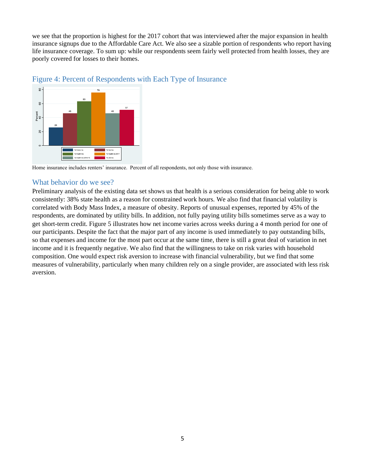we see that the proportion is highest for the 2017 cohort that was interviewed after the major expansion in health insurance signups due to the Affordable Care Act. We also see a sizable portion of respondents who report having life insurance coverage. To sum up: while our respondents seem fairly well protected from health losses, they are poorly covered for losses to their homes.



#### Figure 4: Percent of Respondents with Each Type of Insurance

Home insurance includes renters' insurance. Percent of all respondents, not only those with insurance.

#### What behavior do we see?

Preliminary analysis of the existing data set shows us that health is a serious consideration for being able to work consistently: 38% state health as a reason for constrained work hours. We also find that financial volatility is correlated with Body Mass Index, a measure of obesity. Reports of unusual expenses, reported by 45% of the respondents, are dominated by utility bills. In addition, not fully paying utility bills sometimes serve as a way to get short-term credit. Figure 5 illustrates how net income varies across weeks during a 4 month period for one of our participants. Despite the fact that the major part of any income is used immediately to pay outstanding bills, so that expenses and income for the most part occur at the same time, there is still a great deal of variation in net income and it is frequently negative. We also find that the willingness to take on risk varies with household composition. One would expect risk aversion to increase with financial vulnerability, but we find that some measures of vulnerability, particularly when many children rely on a single provider, are associated with less risk aversion.